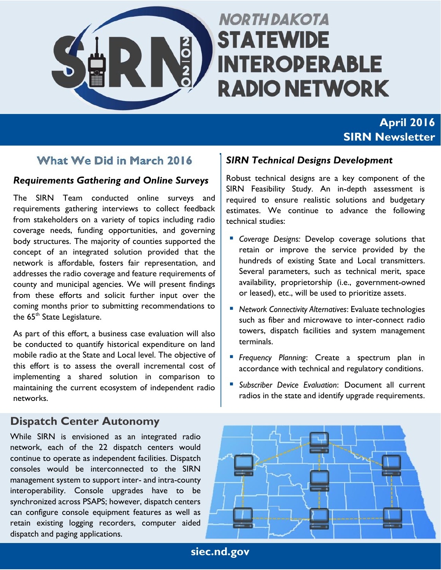

# **NORTH DAKOTA STATEWIDE INTEROPERABLE RADIO NETWORK**

# **April 2016 SIRN Newsletter**

## What We Did in March 2016

### *Requirements Gathering and Online Surveys*

The SIRN Team conducted online surveys and requirements gathering interviews to collect feedback from stakeholders on a variety of topics including radio coverage needs, funding opportunities, and governing body structures. The majority of counties supported the concept of an integrated solution provided that the network is affordable, fosters fair representation, and addresses the radio coverage and feature requirements of county and municipal agencies. We will present findings from these efforts and solicit further input over the coming months prior to submitting recommendations to the 65<sup>th</sup> State Legislature.

As part of this effort, a business case evaluation will also be conducted to quantify historical expenditure on land mobile radio at the State and Local level. The objective of this effort is to assess the overall incremental cost of implementing a shared solution in comparison to maintaining the current ecosystem of independent radio networks.

### **Dispatch Center Autonomy**

While SIRN is envisioned as an integrated radio network, each of the 22 dispatch centers would continue to operate as independent facilities. Dispatch consoles would be interconnected to the SIRN management system to support inter- and intra-county interoperability. Console upgrades have to be synchronized across PSAPS; however, dispatch centers can configure console equipment features as well as retain existing logging recorders, computer aided dispatch and paging applications.

### *SIRN Technical Designs Development*

Robust technical designs are a key component of the SIRN Feasibility Study. An in-depth assessment is required to ensure realistic solutions and budgetary estimates. We continue to advance the following technical studies:

- *Coverage Designs:* Develop coverage solutions that retain or improve the service provided by the hundreds of existing State and Local transmitters. Several parameters, such as technical merit, space availability, proprietorship (i.e., government-owned or leased), etc., will be used to prioritize assets.
- *Network Connectivity Alternatives*: Evaluate technologies such as fiber and microwave to inter-connect radio towers, dispatch facilities and system management terminals.
- *Frequency Planning*: Create a spectrum plan in accordance with technical and regulatory conditions.
- *Subscriber Device Evaluation*: Document all current radios in the state and identify upgrade requirements.



**siec.nd.gov**